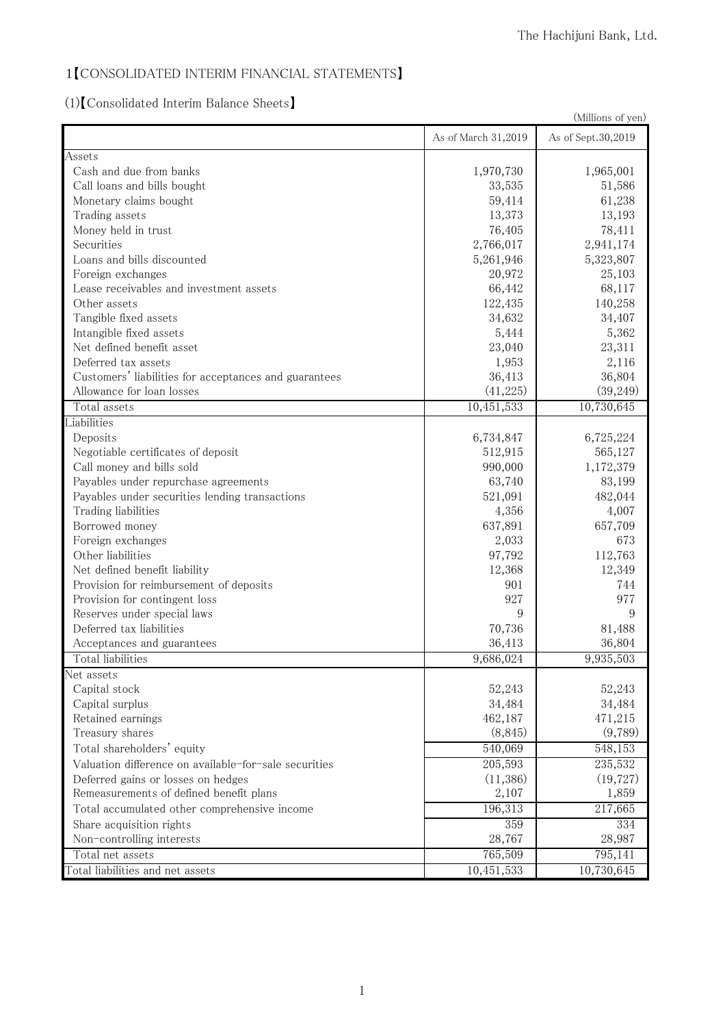# 1【CONSOLIDATED INTERIM FINANCIAL STATEMENTS】

(1)【Consolidated Interim Balance Sheets】

|                                                       | (Millions of yen)   |                    |
|-------------------------------------------------------|---------------------|--------------------|
|                                                       | As of March 31,2019 | As of Sept.30,2019 |
| Assets                                                |                     |                    |
| Cash and due from banks                               | 1,970,730           | 1,965,001          |
| Call loans and bills bought                           | 33,535              | 51,586             |
| Monetary claims bought                                | 59,414              | 61,238             |
| Trading assets                                        | 13,373              | 13,193             |
| Money held in trust                                   | 76,405              | 78,411             |
| Securities                                            | 2,766,017           | 2,941,174          |
| Loans and bills discounted                            | 5,261,946           | 5,323,807          |
| Foreign exchanges                                     | 20,972              | 25,103             |
| Lease receivables and investment assets               | 66,442              | 68,117             |
| Other assets                                          | 122,435             | 140,258            |
| Tangible fixed assets                                 | 34,632              | 34,407             |
| Intangible fixed assets                               | 5,444               | 5,362              |
| Net defined benefit asset                             | 23,040              | 23,311             |
| Deferred tax assets                                   | 1,953               | 2,116              |
| Customers' liabilities for acceptances and guarantees | 36,413              | 36,804             |
| Allowance for loan losses                             | (41, 225)           | (39,249)           |
| Total assets                                          | 10,451,533          | 10,730,645         |
| Liabilities                                           |                     |                    |
| Deposits                                              | 6,734,847           | 6,725,224          |
| Negotiable certificates of deposit                    | 512,915             | 565,127            |
| Call money and bills sold                             | 990,000             | 1,172,379          |
| Payables under repurchase agreements                  | 63,740              | 83,199             |
| Payables under securities lending transactions        | 521,091             | 482,044            |
| Trading liabilities                                   | 4,356               | 4,007              |
| Borrowed money                                        | 637,891             | 657,709            |
| Foreign exchanges                                     | 2,033               | 673                |
| Other liabilities                                     | 97,792              | 112,763            |
| Net defined benefit liability                         | 12,368              | 12,349             |
| Provision for reimbursement of deposits               | 901                 | 744                |
| Provision for contingent loss                         | 927                 | 977                |
| Reserves under special laws                           | 9                   | 9                  |
| Deferred tax liabilities                              | 70,736              | 81,488             |
| Acceptances and guarantees                            | 36,413              | 36,804             |
| Total liabilities                                     | 9,686,024           | 9,935,503          |
| Net assets                                            |                     |                    |
| Capital stock                                         | 52,243              | 52,243             |
| Capital surplus                                       | 34,484              | 34,484             |
| Retained earnings                                     | 462,187             | 471,215            |
| Treasury shares                                       | (8, 845)            | (9,789)            |
| Total shareholders' equity                            | 540,069             | 548,153            |
| Valuation difference on available-for-sale securities | 205,593             | 235,532            |
| Deferred gains or losses on hedges                    | (11, 386)           | (19, 727)          |
| Remeasurements of defined benefit plans               | 2,107               | 1,859              |
| Total accumulated other comprehensive income          | 196,313             | 217,665            |
|                                                       |                     |                    |
| Share acquisition rights                              | 359                 | 334                |
| Non-controlling interests                             | 28,767              | 28,987             |
| Total net assets                                      | 765,509             | 795,141            |
| Total liabilities and net assets                      | 10,451,533          | 10,730,645         |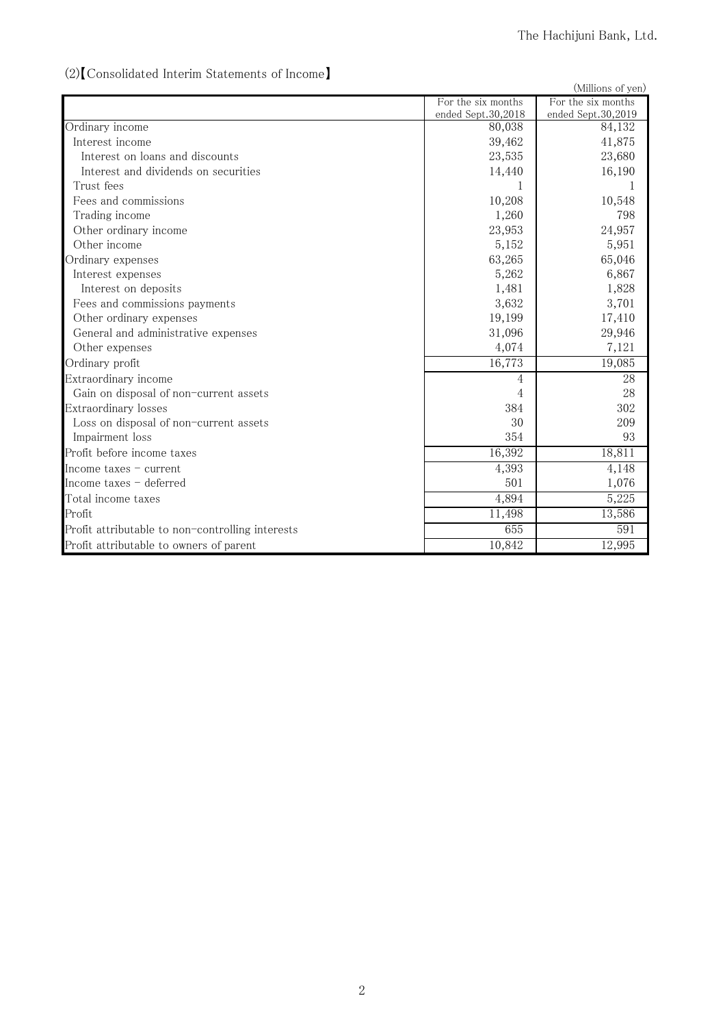# (2)【Consolidated Interim Statements of Income】

| (2) Consondated mitchin biatchichts of meonic    |                    | (Millions of yen)  |
|--------------------------------------------------|--------------------|--------------------|
|                                                  | For the six months | For the six months |
|                                                  | ended Sept.30,2018 | ended Sept.30,2019 |
| Ordinary income                                  | 80,038             | 84,132             |
| Interest income                                  | 39,462             | 41,875             |
| Interest on loans and discounts                  | 23,535             | 23,680             |
| Interest and dividends on securities             | 14,440             | 16,190             |
| Trust fees                                       |                    |                    |
| Fees and commissions                             | 10,208             | 10,548             |
| Trading income                                   | 1,260              | 798                |
| Other ordinary income                            | 23,953             | 24,957             |
| Other income                                     | 5,152              | 5,951              |
| Ordinary expenses                                | 63,265             | 65,046             |
| Interest expenses                                | 5,262              | 6,867              |
| Interest on deposits                             | 1,481              | 1,828              |
| Fees and commissions payments                    | 3,632              | 3,701              |
| Other ordinary expenses                          | 19,199             | 17,410             |
| General and administrative expenses              | 31,096             | 29,946             |
| Other expenses                                   | 4,074              | 7,121              |
| Ordinary profit                                  | 16,773             | 19,085             |
| Extraordinary income                             | 4                  | 28                 |
| Gain on disposal of non-current assets           | 4                  | 28                 |
| Extraordinary losses                             | 384                | 302                |
| Loss on disposal of non-current assets           | 30                 | 209                |
| Impairment loss                                  | 354                | 93                 |
| Profit before income taxes                       | 16,392             | 18,811             |
| Income taxes $-$ current                         | 4,393              | 4,148              |
| Income taxes - deferred                          | 501                | 1,076              |
| Total income taxes                               | 4,894              | 5,225              |
| Profit                                           | 11,498             | 13,586             |
| Profit attributable to non-controlling interests | 655                | 591                |
| Profit attributable to owners of parent          | 10,842             | 12,995             |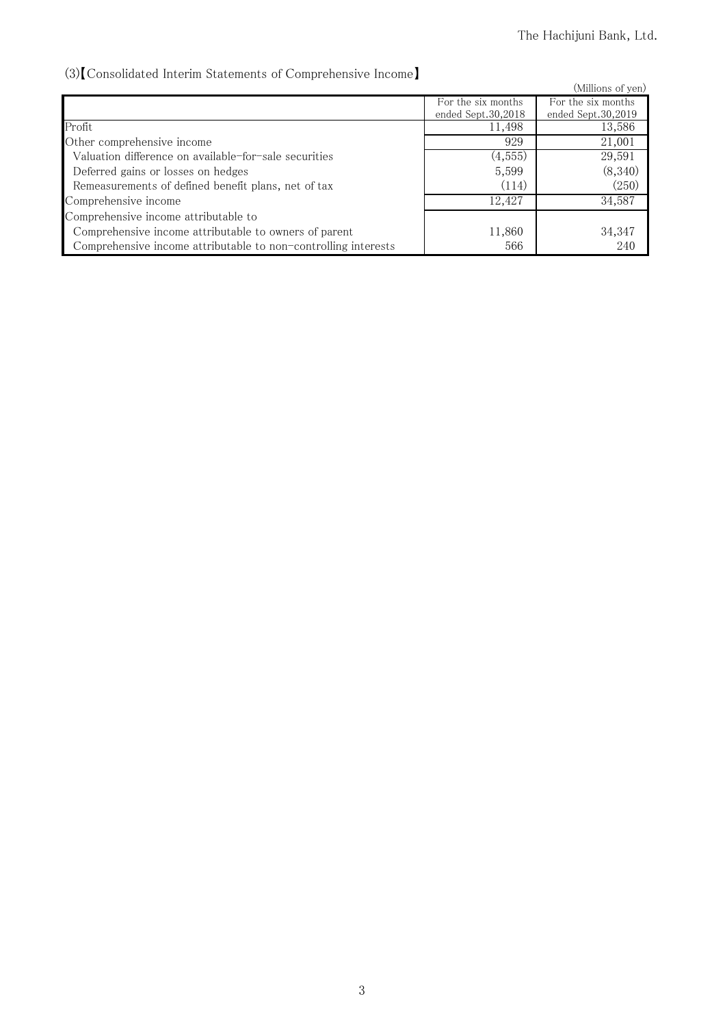# (3)【Consolidated Interim Statements of Comprehensive Income】

| vo/reconsolidated internit platements of comprendition to income r |                    |                    |
|--------------------------------------------------------------------|--------------------|--------------------|
|                                                                    |                    | (Millions of yen)  |
|                                                                    | For the six months | For the six months |
|                                                                    | ended Sept.30.2018 | ended Sept.30.2019 |
| Profit                                                             | 11,498             | 13,586             |
| Other comprehensive income                                         | 929                | 21,001             |
| Valuation difference on available-for-sale securities              | (4, 555)           | 29,591             |
| Deferred gains or losses on hedges                                 | 5,599              | (8,340)            |
| Remeasurements of defined benefit plans, net of tax                | (114)              | (250)              |
| Comprehensive income                                               | 12,427             | 34,587             |
| Comprehensive income attributable to                               |                    |                    |
| Comprehensive income attributable to owners of parent              | 11,860             | 34,347             |
| Comprehensive income attributable to non-controlling interests     | 566                | 240                |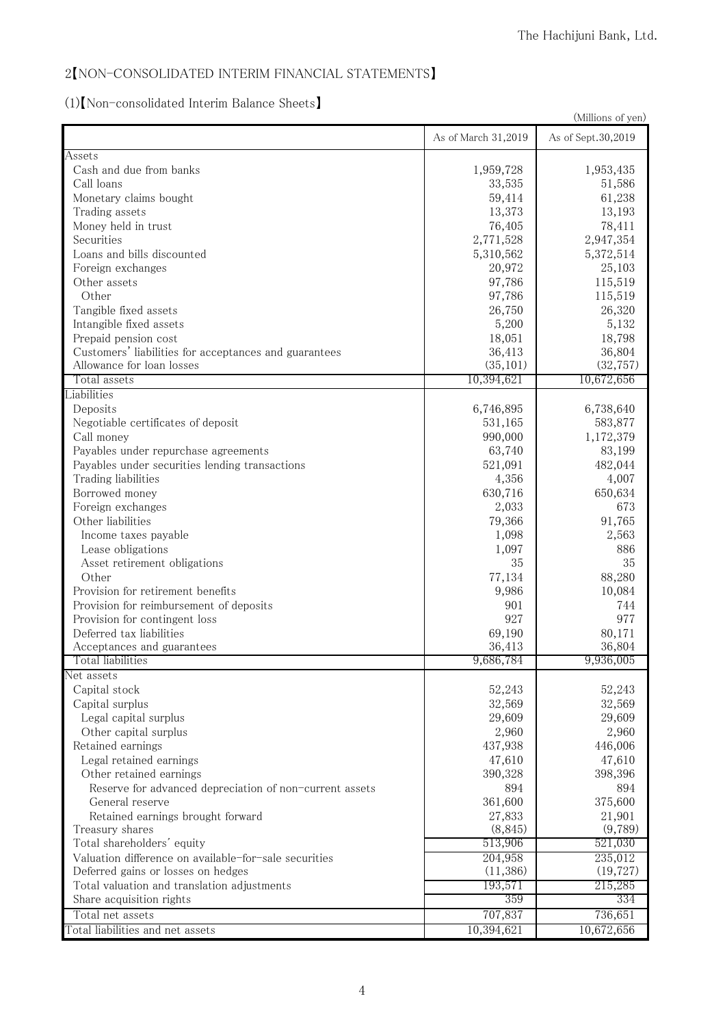### 2【NON-CONSOLIDATED INTERIM FINANCIAL STATEMENTS】

(1)【Non-consolidated Interim Balance Sheets】

|                                                         |                     | (Millions of yen)  |
|---------------------------------------------------------|---------------------|--------------------|
|                                                         | As of March 31,2019 | As of Sept.30,2019 |
| Assets                                                  |                     |                    |
| Cash and due from banks                                 | 1,959,728           | 1,953,435          |
| Call loans                                              | 33,535              | 51,586             |
| Monetary claims bought                                  | 59,414              | 61,238             |
| Trading assets                                          | 13,373              | 13,193             |
| Money held in trust                                     | 76,405              | 78,411             |
| Securities                                              | 2,771,528           | 2,947,354          |
| Loans and bills discounted                              | 5,310,562           | 5,372,514          |
| Foreign exchanges                                       | 20,972              | 25,103             |
| Other assets                                            | 97,786              | 115,519            |
| Other                                                   | 97,786              | 115,519            |
| Tangible fixed assets                                   | 26,750              | 26,320             |
| Intangible fixed assets                                 | 5,200               | 5,132              |
| Prepaid pension cost                                    | 18,051              | 18,798             |
| Customers' liabilities for acceptances and guarantees   | 36,413              | 36,804             |
| Allowance for loan losses                               | (35, 101)           | (32, 757)          |
| Total assets                                            | 10,394,621          | 10,672,656         |
| Liabilities                                             |                     |                    |
| Deposits                                                | 6,746,895           | 6,738,640          |
| Negotiable certificates of deposit                      | 531,165             | 583,877            |
| Call money                                              | 990,000             | 1,172,379          |
| Payables under repurchase agreements                    | 63,740              | 83,199             |
| Payables under securities lending transactions          | 521,091             | 482,044            |
| Trading liabilities                                     | 4,356               | 4,007              |
| Borrowed money                                          | 630,716             | 650,634            |
| Foreign exchanges                                       | 2,033               | 673                |
| Other liabilities                                       | 79,366              | 91,765             |
| Income taxes payable                                    | 1,098               | 2,563              |
| Lease obligations                                       | 1,097               | 886                |
| Asset retirement obligations                            | 35                  | 35                 |
| Other                                                   | 77,134              | 88,280             |
| Provision for retirement benefits                       | 9,986               | 10,084             |
| Provision for reimbursement of deposits                 | 901                 | 744                |
| Provision for contingent loss                           | 927                 | 977                |
| Deferred tax liabilities                                | 69,190              | 80,171             |
| Acceptances and guarantees                              | 36,413              | 36,804             |
| Total liabilities                                       | 9,686,784           | 9,936,005          |
| Net assets                                              |                     |                    |
| Capital stock<br>Capital surplus                        | 52,243<br>32,569    | 52,243<br>32,569   |
| Legal capital surplus                                   | 29,609              | 29,609             |
| Other capital surplus                                   | 2,960               | 2,960              |
| Retained earnings                                       | 437,938             | 446,006            |
| Legal retained earnings                                 | 47,610              | 47,610             |
| Other retained earnings                                 | 390,328             | 398,396            |
| Reserve for advanced depreciation of non-current assets | 894                 | 894                |
| General reserve                                         | 361,600             | 375,600            |
| Retained earnings brought forward                       | 27,833              | 21,901             |
| Treasury shares                                         | (8, 845)            | (9,789)            |
| Total shareholders' equity                              | 513,906             | 521,030            |
| Valuation difference on available-for-sale securities   | 204,958             | 235,012            |
| Deferred gains or losses on hedges                      | (11,386)            | (19, 727)          |
| Total valuation and translation adjustments             | 193,571             | 215,285            |
| Share acquisition rights                                | 359                 | 334                |
| Total net assets                                        | 707,837             | 736,651            |
| Total liabilities and net assets                        | 10,394,621          | 10,672,656         |
|                                                         |                     |                    |